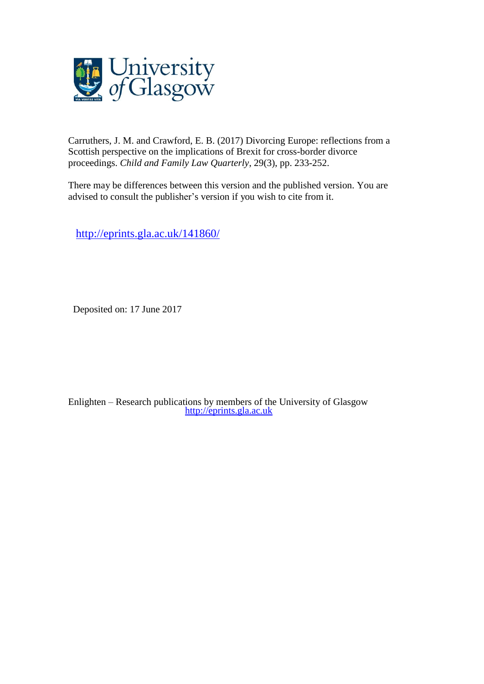

Carruthers, J. M. and Crawford, E. B. (2017) Divorcing Europe: reflections from a Scottish perspective on the implications of Brexit for cross-border divorce proceedings. *Child and Family Law Quarterly*, 29(3), pp. 233-252.

There may be differences between this version and the published version. You are advised to consult the publisher's version if you wish to cite from it.

<http://eprints.gla.ac.uk/141860/>

Deposited on: 17 June 2017

Enlighten – Research publications by members of the University of Glasgow [http://eprints.gla.ac.uk](http://eprints.gla.ac.uk/)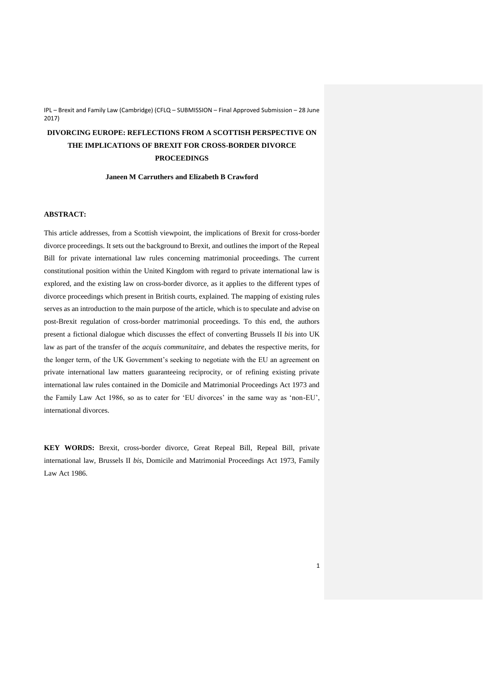# **DIVORCING EUROPE: REFLECTIONS FROM A SCOTTISH PERSPECTIVE ON THE IMPLICATIONS OF BREXIT FOR CROSS-BORDER DIVORCE PROCEEDINGS**

**Janeen M Carruthers and Elizabeth B Crawford** 

# **ABSTRACT:**

This article addresses, from a Scottish viewpoint, the implications of Brexit for cross-border divorce proceedings. It sets out the background to Brexit, and outlines the import of the Repeal Bill for private international law rules concerning matrimonial proceedings. The current constitutional position within the United Kingdom with regard to private international law is explored, and the existing law on cross-border divorce, as it applies to the different types of divorce proceedings which present in British courts, explained. The mapping of existing rules serves as an introduction to the main purpose of the article, which is to speculate and advise on post-Brexit regulation of cross-border matrimonial proceedings. To this end, the authors present a fictional dialogue which discusses the effect of converting Brussels II *bis* into UK law as part of the transfer of the *acquis communitaire*, and debates the respective merits, for the longer term, of the UK Government's seeking to negotiate with the EU an agreement on private international law matters guaranteeing reciprocity, or of refining existing private international law rules contained in the Domicile and Matrimonial Proceedings Act 1973 and the Family Law Act 1986, so as to cater for 'EU divorces' in the same way as 'non-EU', international divorces.

**KEY WORDS:** Brexit, cross-border divorce, Great Repeal Bill, Repeal Bill, private international law, Brussels II *bis*, Domicile and Matrimonial Proceedings Act 1973, Family Law Act 1986.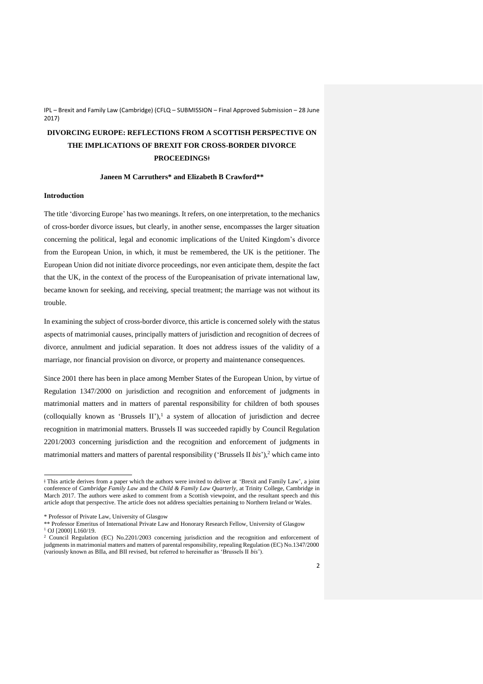# **DIVORCING EUROPE: REFLECTIONS FROM A SCOTTISH PERSPECTIVE ON THE IMPLICATIONS OF BREXIT FOR CROSS-BORDER DIVORCE PROCEEDINGSǂ**

## **Janeen M Carruthers\* and Elizabeth B Crawford\*\***

#### **Introduction**

The title 'divorcing Europe' has two meanings. It refers, on one interpretation, to the mechanics of cross-border divorce issues, but clearly, in another sense, encompasses the larger situation concerning the political, legal and economic implications of the United Kingdom's divorce from the European Union, in which, it must be remembered, the UK is the petitioner. The European Union did not initiate divorce proceedings, nor even anticipate them, despite the fact that the UK, in the context of the process of the Europeanisation of private international law, became known for seeking, and receiving, special treatment; the marriage was not without its trouble.

In examining the subject of cross-border divorce, this article is concerned solely with the status aspects of matrimonial causes, principally matters of jurisdiction and recognition of decrees of divorce, annulment and judicial separation. It does not address issues of the validity of a marriage, nor financial provision on divorce, or property and maintenance consequences.

Since 2001 there has been in place among Member States of the European Union, by virtue of Regulation 1347/2000 on jurisdiction and recognition and enforcement of judgments in matrimonial matters and in matters of parental responsibility for children of both spouses (colloquially known as 'Brussels II'),<sup>1</sup> a system of allocation of jurisdiction and decree recognition in matrimonial matters. Brussels II was succeeded rapidly by Council Regulation 2201/2003 concerning jurisdiction and the recognition and enforcement of judgments in matrimonial matters and matters of parental responsibility ('Brussels II *bis*'),<sup>2</sup> which came into

ǂ This article derives from a paper which the authors were invited to deliver at 'Brexit and Family Law', a joint conference of *Cambridge Family Law* and the *Child & Family Law Quarterly*, at Trinity College, Cambridge in March 2017. The authors were asked to comment from a Scottish viewpoint, and the resultant speech and this article adopt that perspective. The article does not address specialties pertaining to Northern Ireland or Wales.

<sup>\*</sup> Professor of Private Law, University of Glasgow

<sup>\*\*</sup> Professor Emeritus of International Private Law and Honorary Research Fellow, University of Glasgow <sup>1</sup> OJ [2000] L160/19.

<sup>&</sup>lt;sup>2</sup> Council Regulation (EC) No.2201/2003 concerning jurisdiction and the recognition and enforcement of judgments in matrimonial matters and matters of parental responsibility, repealing Regulation (EC) No.1347/2000 (variously known as BIIa, and BII revised, but referred to hereinafter as 'Brussels II *bis*').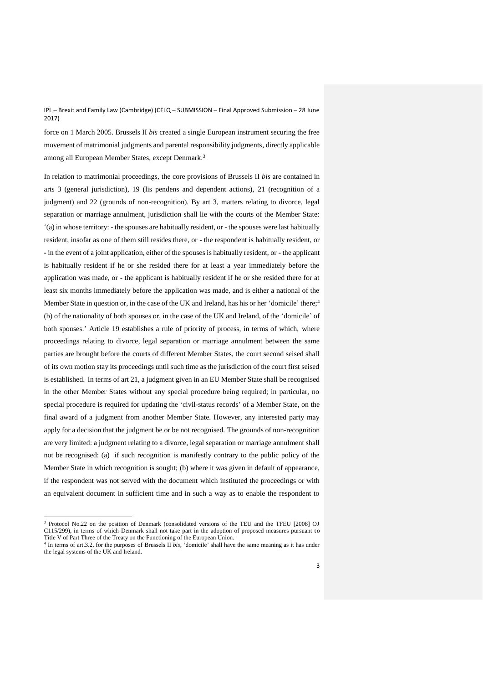force on 1 March 2005. Brussels II *bis* created a single European instrument securing the free movement of matrimonial judgments and parental responsibility judgments, directly applicable among all European Member States, except Denmark.<sup>3</sup>

In relation to matrimonial proceedings, the core provisions of Brussels II *bis* are contained in arts 3 (general jurisdiction), 19 (lis pendens and dependent actions), 21 (recognition of a judgment) and 22 (grounds of non-recognition). By art 3, matters relating to divorce, legal separation or marriage annulment, jurisdiction shall lie with the courts of the Member State: '(a) in whose territory: - the spouses are habitually resident, or - the spouses were last habitually resident, insofar as one of them still resides there, or - the respondent is habitually resident, or - in the event of a joint application, either of the spouses is habitually resident, or - the applicant is habitually resident if he or she resided there for at least a year immediately before the application was made, or - the applicant is habitually resident if he or she resided there for at least six months immediately before the application was made, and is either a national of the Member State in question or, in the case of the UK and Ireland, has his or her 'domicile' there;<sup>4</sup> (b) of the nationality of both spouses or, in the case of the UK and Ireland, of the 'domicile' of both spouses.' Article 19 establishes a rule of priority of process, in terms of which, where proceedings relating to divorce, legal separation or marriage annulment between the same parties are brought before the courts of different Member States, the court second seised shall of its own motion stay its proceedings until such time as the jurisdiction of the court first seised is established. In terms of art 21, a judgment given in an EU Member State shall be recognised in the other Member States without any special procedure being required; in particular, no special procedure is required for updating the 'civil-status records' of a Member State, on the final award of a judgment from another Member State. However, any interested party may apply for a decision that the judgment be or be not recognised. The grounds of non-recognition are very limited: a judgment relating to a divorce, legal separation or marriage annulment shall not be recognised: (a) if such recognition is manifestly contrary to the public policy of the Member State in which recognition is sought; (b) where it was given in default of appearance, if the respondent was not served with the document which instituted the proceedings or with an equivalent document in sufficient time and in such a way as to enable the respondent to

<sup>&</sup>lt;sup>3</sup> Protocol No.22 on the position of Denmark (consolidated versions of the TEU and the TFEU [2008] OJ C115/299), in terms of which Denmark shall not take part in the adoption of proposed measures pursuant to Title V of Part Three of the Treaty on the Functioning of the European Union.

<sup>4</sup> In terms of art.3.2, for the purposes of Brussels II *bis*, 'domicile' shall have the same meaning as it has under the legal systems of the UK and Ireland.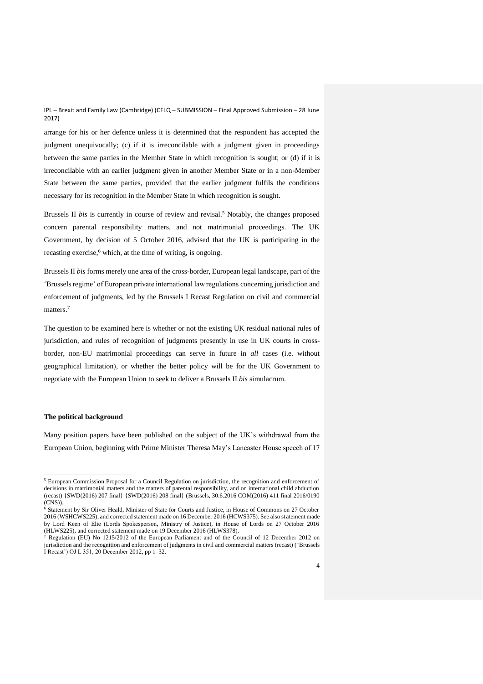arrange for his or her defence unless it is determined that the respondent has accepted the judgment unequivocally; (c) if it is irreconcilable with a judgment given in proceedings between the same parties in the Member State in which recognition is sought; or (d) if it is irreconcilable with an earlier judgment given in another Member State or in a non-Member State between the same parties, provided that the earlier judgment fulfils the conditions necessary for its recognition in the Member State in which recognition is sought.

Brussels II *bis* is currently in course of review and revisal.<sup>5</sup> Notably, the changes proposed concern parental responsibility matters, and not matrimonial proceedings. The UK Government, by decision of 5 October 2016, advised that the UK is participating in the recasting exercise, <sup>6</sup> which, at the time of writing, is ongoing.

Brussels II *bis* forms merely one area of the cross-border, European legal landscape, part of the 'Brussels regime' of European private international law regulations concerning jurisdiction and enforcement of judgments, led by the Brussels I Recast Regulation on civil and commercial matters. 7

The question to be examined here is whether or not the existing UK residual national rules of jurisdiction, and rules of recognition of judgments presently in use in UK courts in crossborder, non-EU matrimonial proceedings can serve in future in *all* cases (i.e. without geographical limitation), or whether the better policy will be for the UK Government to negotiate with the European Union to seek to deliver a Brussels II *bis* simulacrum.

#### **The political background**

 $\overline{a}$ 

Many position papers have been published on the subject of the UK's withdrawal from the European Union, beginning with Prime Minister Theresa May's Lancaster House speech of 17

<sup>5</sup> European Commission Proposal for a Council Regulation on jurisdiction, the recognition and enforcement of decisions in matrimonial matters and the matters of parental responsibility, and on international child abduction (recast) {SWD(2016) 207 final} {SWD(2016) 208 final} (Brussels, 30.6.2016 COM(2016) 411 final 2016/0190 (CNS)).

<sup>6</sup> Statement by Sir Oliver Heald, Minister of State for Courts and Justice, in House of Commons on 27 October 2016 (WSHCWS225), and corrected statement made on 16 December 2016 (HCWS375). See also st atement made by Lord Keen of Elie (Lords Spokesperson, Ministry of Justice), in House of Lords on 27 October 2016 (HLWS225), and corrected statement made on 19 December 2016 (HLWS378).

<sup>&</sup>lt;sup>7</sup> Regulation (EU) No 1215/2012 of the European Parliament and of the Council of 12 December 2012 on jurisdiction and the recognition and enforcement of judgments in civil and commercial matters (recast) ('Brussels I Recast') OJ L 351, 20 December 2012, pp 1–32.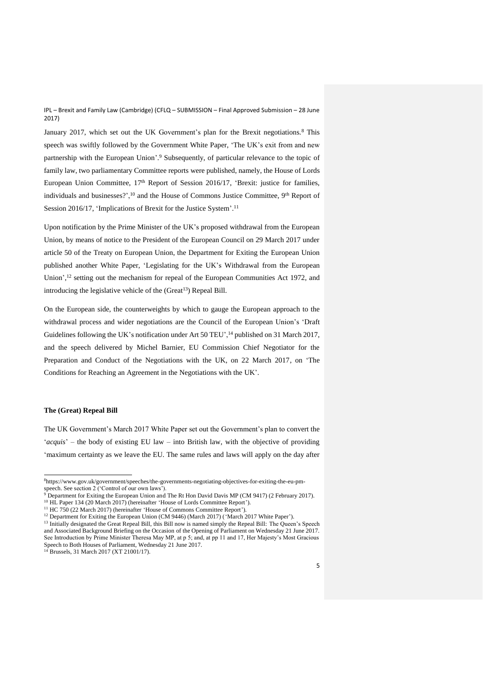January 2017, which set out the UK Government's plan for the Brexit negotiations.<sup>8</sup> This speech was swiftly followed by the Government White Paper, 'The UK's exit from and new partnership with the European Union'.<sup>9</sup> Subsequently, of particular relevance to the topic of family law, two parliamentary Committee reports were published, namely, the House of Lords European Union Committee, 17<sup>th</sup> Report of Session 2016/17, 'Brexit: justice for families, individuals and businesses?',<sup>10</sup> and the House of Commons Justice Committee, 9<sup>th</sup> Report of Session 2016/17, 'Implications of Brexit for the Justice System'.<sup>11</sup>

Upon notification by the Prime Minister of the UK's proposed withdrawal from the European Union, by means of notice to the President of the European Council on 29 March 2017 under article 50 of the Treaty on European Union, the Department for Exiting the European Union published another White Paper, 'Legislating for the UK's Withdrawal from the European Union',<sup>12</sup> setting out the mechanism for repeal of the European Communities Act 1972, and introducing the legislative vehicle of the  $(Great<sup>13</sup>)$  Repeal Bill.

On the European side, the counterweights by which to gauge the European approach to the withdrawal process and wider negotiations are the Council of the European Union's 'Draft Guidelines following the UK's notification under Art 50 TEU',<sup>14</sup> published on 31 March 2017, and the speech delivered by Michel Barnier, EU Commission Chief Negotiator for the Preparation and Conduct of the Negotiations with the UK, on 22 March 2017, on 'The Conditions for Reaching an Agreement in the Negotiations with the UK'.

### **The (Great) Repeal Bill**

 $\overline{a}$ 

The UK Government's March 2017 White Paper set out the Government's plan to convert the '*acquis*' – the body of existing EU law – into British law, with the objective of providing 'maximum certainty as we leave the EU. The same rules and laws will apply on the day after

<sup>8</sup>[https://www.gov.uk/government/speeches/the-governments-negotiating-objectives-for-exiting-the-eu-pm](https://www.gov.uk/government/speeches/the-governments-negotiating-objectives-for-exiting-the-eu-pm-speech)[speech.](https://www.gov.uk/government/speeches/the-governments-negotiating-objectives-for-exiting-the-eu-pm-speech) See section 2 ('Control of our own laws').

<sup>&</sup>lt;sup>9</sup> Department for Exiting the European Union and The Rt Hon David Davis MP (CM 9417) (2 February 2017). <sup>10</sup> HL Paper 134 (20 March 2017) (hereinafter 'House of Lords Committee Report').

<sup>&</sup>lt;sup>11</sup> HC 750 (22 March 2017) (hereinafter 'House of Commons Committee Report').

<sup>&</sup>lt;sup>12</sup> Department for Exiting the European Union (CM 9446) (March 2017) ('March 2017 White Paper').

<sup>&</sup>lt;sup>13</sup> Initially designated the Great Repeal Bill, this Bill now is named simply the Repeal Bill: The Queen's Speech and Associated Background Briefing on the Occasion of the Opening of Parliament on Wednesday 21 June 2017. See Introduction by Prime Minister Theresa May MP, at p 5; and, at pp 11 and 17, Her Majesty's Most Gracious Speech to Both Houses of Parliament, Wednesday 21 June 2017.

 $^{14}$  Brussels, 31 March 2017 (XT 21001/17).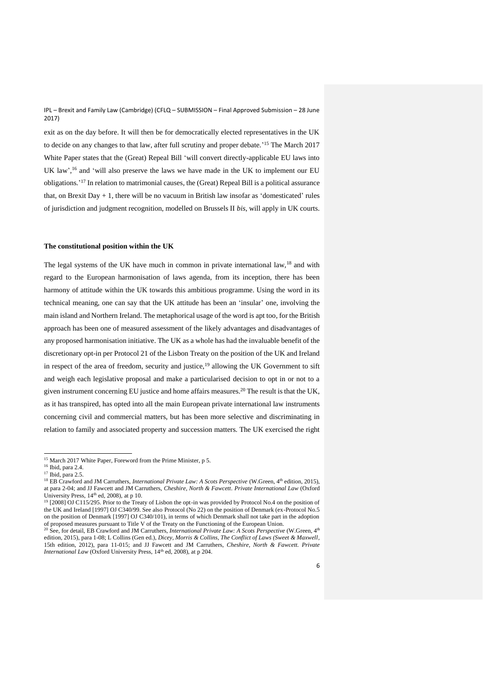exit as on the day before. It will then be for democratically elected representatives in the UK to decide on any changes to that law, after full scrutiny and proper debate.<sup>15</sup> The March 2017 White Paper states that the (Great) Repeal Bill 'will convert directly-applicable EU laws into UK law', <sup>16</sup> and 'will also preserve the laws we have made in the UK to implement our EU obligations.' <sup>17</sup> In relation to matrimonial causes, the (Great) Repeal Bill is a political assurance that, on Brexit Day  $+1$ , there will be no vacuum in British law insofar as 'domesticated' rules of jurisdiction and judgment recognition, modelled on Brussels II *bis*, will apply in UK courts.

## **The constitutional position within the UK**

The legal systems of the UK have much in common in private international law,<sup>18</sup> and with regard to the European harmonisation of laws agenda, from its inception, there has been harmony of attitude within the UK towards this ambitious programme. Using the word in its technical meaning, one can say that the UK attitude has been an 'insular' one, involving the main island and Northern Ireland. The metaphorical usage of the word is apt too, for the British approach has been one of measured assessment of the likely advantages and disadvantages of any proposed harmonisation initiative. The UK as a whole has had the invaluable benefit of the discretionary opt-in per Protocol 21 of the Lisbon Treaty on the position of the UK and Ireland in respect of the area of freedom, security and justice, $19$  allowing the UK Government to sift and weigh each legislative proposal and make a particularised decision to opt in or not to a given instrument concerning EU justice and home affairs measures.<sup>20</sup> The result is that the UK, as it has transpired, has opted into all the main European private international law instruments concerning civil and commercial matters, but has been more selective and discriminating in relation to family and associated property and succession matters. The UK exercised the right

<sup>&</sup>lt;sup>15</sup> March 2017 White Paper, Foreword from the Prime Minister, p 5.

<sup>16</sup> Ibid, para 2.4.

<sup>&</sup>lt;sup>17</sup> Ibid, para 2.5.

<sup>&</sup>lt;sup>18</sup> EB Crawford and JM Carruthers, *International Private Law: A Scots Perspective* (W.Green, 4<sup>th</sup> edition, 2015), at para 2-04; and JJ Fawcett and JM Carruthers, *Cheshire, North & Fawcett. Private International Law* (Oxford University Press,  $14<sup>th</sup>$  ed, 2008), at p 10.

<sup>&</sup>lt;sup>19</sup> [2008] OJ C115/295. Prior to the Treaty of Lisbon the opt-in was provided by Protocol No.4 on the position of the UK and Ireland [1997] OJ C340/99. See also Protocol (No 22) on the position of Denmark (ex-Protocol No.5 on the position of Denmark [1997] OJ C340/101), in terms of which Denmark shall not take part in the adoption of proposed measures pursuant to Title V of the Treaty on the Functioning of the European Union.

<sup>&</sup>lt;sup>20</sup> See, for detail, EB Crawford and JM Carruthers, *International Private Law: A Scots Perspective* (W.Green, 4<sup>th</sup> edition, 2015), para 1-08; L Collins (Gen ed.), *Dicey, Morris & Collins, The Conflict of Laws (Sweet & Maxwell*, 15th edition, 2012), para 11-015; and JJ Fawcett and JM Carruthers, *Cheshire, North & Fawcett. Private International Law* (Oxford University Press, 14<sup>th</sup> ed, 2008), at p 204.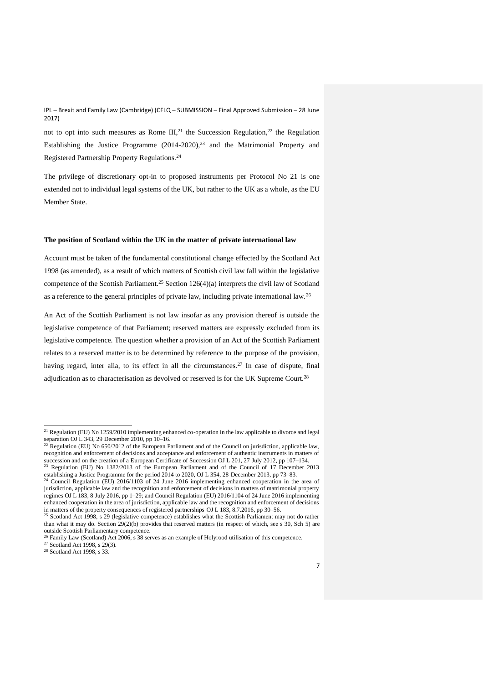not to opt into such measures as Rome  $III<sub>1</sub><sup>21</sup>$  the Succession Regulation,<sup>22</sup> the Regulation Establishing the Justice Programme  $(2014-2020),<sup>23</sup>$  and the Matrimonial Property and Registered Partnership Property Regulations.<sup>24</sup>

The privilege of discretionary opt-in to proposed instruments per Protocol No 21 is one extended not to individual legal systems of the UK, but rather to the UK as a whole, as the EU Member State.

## **The position of Scotland within the UK in the matter of private international law**

Account must be taken of the fundamental constitutional change effected by the Scotland Act 1998 (as amended), as a result of which matters of Scottish civil law fall within the legislative competence of the Scottish Parliament.<sup>25</sup> Section 126(4)(a) interprets the civil law of Scotland as a reference to the general principles of private law, including private international law.<sup>26</sup>

An Act of the Scottish Parliament is not law insofar as any provision thereof is outside the legislative competence of that Parliament; reserved matters are expressly excluded from its legislative competence. The question whether a provision of an Act of the Scottish Parliament relates to a reserved matter is to be determined by reference to the purpose of the provision, having regard, inter alia, to its effect in all the circumstances.<sup>27</sup> In case of dispute, final adjudication as to characterisation as devolved or reserved is for the UK Supreme Court.<sup>28</sup>

<sup>&</sup>lt;sup>21</sup> Regulation (EU) No  $1259/2010$  implementing enhanced co-operation in the law applicable to divorce and legal separation OJ L 343, 29 December 2010, pp 10–16.

<sup>&</sup>lt;sup>22</sup> Regulation (EU) No  $650/2012$  of the European Parliament and of the Council on jurisdiction, applicable law, recognition and enforcement of decisions and acceptance and enforcement of authentic instruments in matters of succession and on the creation of a European Certificate of Succession OJ L 201, 27 July 2012, pp 107–134.

<sup>&</sup>lt;sup>23</sup> Regulation (EU) No  $1382/2013$  of the European Parliament and of the Council of 17 December 2013 establishing a Justice Programme for the period 2014 to 2020, OJ L 354, 28 December 2013, pp 73–83.

<sup>&</sup>lt;sup>24</sup> Council Regulation (EU) 2016/1103 of 24 June 2016 implementing enhanced cooperation in the area of jurisdiction, applicable law and the recognition and enforcement of decisions in matters of matrimonial property regimes OJ L 183, 8 July 2016, pp 1–29; and Council Regulation (EU) 2016/1104 of 24 June 2016 implementing enhanced cooperation in the area of jurisdiction, applicable law and the recognition and enforcement of decisions in matters of the property consequences of registered partnerships OJ L 183, 8.7.2016, pp 30–56.

<sup>&</sup>lt;sup>25</sup> Scotland Act 1998, s 29 (legislative competence) establishes what the Scottish Parliament may not do rather than what it may do. Section 29(2)(b) provides that reserved matters (in respect of which, see s 30, Sch 5) are outside Scottish Parliamentary competence.

<sup>26</sup> Family Law (Scotland) Act 2006, s 38 serves as an example of Holyrood utilisation of this competence.

<sup>27</sup> Scotland Act 1998, s 29(3).

<sup>&</sup>lt;sup>28</sup> Scotland Act 1998, s 33.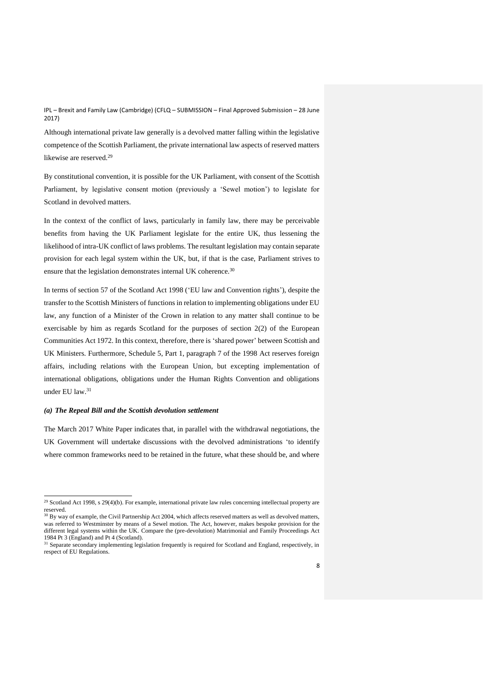Although international private law generally is a devolved matter falling within the legislative competence of the Scottish Parliament, the private international law aspects of reserved matters likewise are reserved.<sup>29</sup>

By constitutional convention, it is possible for the UK Parliament, with consent of the Scottish Parliament, by legislative consent motion (previously a 'Sewel motion') to legislate for Scotland in devolved matters.

In the context of the conflict of laws, particularly in family law, there may be perceivable benefits from having the UK Parliament legislate for the entire UK, thus lessening the likelihood of intra-UK conflict of laws problems. The resultant legislation may contain separate provision for each legal system within the UK, but, if that is the case, Parliament strives to ensure that the legislation demonstrates internal UK coherence.<sup>30</sup>

In terms of section 57 of the Scotland Act 1998 ('EU law and Convention rights'), despite the transfer to the Scottish Ministers of functions in relation to implementing obligations under EU law, any function of a Minister of the Crown in relation to any matter shall continue to be exercisable by him as regards Scotland for the purposes of section 2(2) of the European Communities Act 1972. In this context, therefore, there is 'shared power' between Scottish and UK Ministers. Furthermore, Schedule 5, Part 1, paragraph 7 of the 1998 Act reserves foreign affairs, including relations with the European Union, but excepting implementation of international obligations, obligations under the Human Rights Convention and obligations under EU law.<sup>31</sup>

#### *(a) The Repeal Bill and the Scottish devolution settlement*

 $\overline{a}$ 

The March 2017 White Paper indicates that, in parallel with the withdrawal negotiations, the UK Government will undertake discussions with the devolved administrations 'to identify where common frameworks need to be retained in the future, what these should be, and where

<sup>&</sup>lt;sup>29</sup> Scotland Act 1998, s  $29(4)(b)$ . For example, international private law rules concerning intellectual property are reserved.

 $30$  By way of example, the Civil Partnership Act 2004, which affects reserved matters as well as devolved matters, was referred to Westminster by means of a Sewel motion. The Act, however, makes bespoke provision for the different legal systems within the UK. Compare the (pre-devolution) Matrimonial and Family Proceedings Act 1984 Pt 3 (England) and Pt 4 (Scotland).

<sup>&</sup>lt;sup>31</sup> Separate secondary implementing legislation frequently is required for Scotland and England, respectively, in respect of EU Regulations.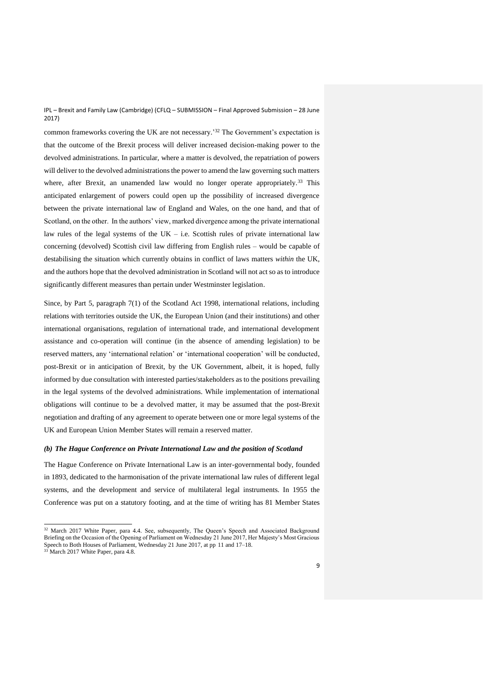common frameworks covering the UK are not necessary.' <sup>32</sup> The Government's expectation is that the outcome of the Brexit process will deliver increased decision-making power to the devolved administrations. In particular, where a matter is devolved, the repatriation of powers will deliver to the devolved administrations the power to amend the law governing such matters where, after Brexit, an unamended law would no longer operate appropriately.<sup>33</sup> This anticipated enlargement of powers could open up the possibility of increased divergence between the private international law of England and Wales, on the one hand, and that of Scotland, on the other. In the authors' view, marked divergence among the private international law rules of the legal systems of the  $UK - i.e.$  Scottish rules of private international law concerning (devolved) Scottish civil law differing from English rules – would be capable of destabilising the situation which currently obtains in conflict of laws matters *within* the UK, and the authors hope that the devolved administration in Scotland will not act so as to introduce significantly different measures than pertain under Westminster legislation.

Since, by Part 5, paragraph 7(1) of the Scotland Act 1998, international relations, including relations with territories outside the UK, the European Union (and their institutions) and other international organisations, regulation of international trade, and international development assistance and co-operation will continue (in the absence of amending legislation) to be reserved matters, any 'international relation' or 'international cooperation' will be conducted, post-Brexit or in anticipation of Brexit, by the UK Government, albeit, it is hoped, fully informed by due consultation with interested parties/stakeholders as to the positions prevailing in the legal systems of the devolved administrations. While implementation of international obligations will continue to be a devolved matter, it may be assumed that the post-Brexit negotiation and drafting of any agreement to operate between one or more legal systems of the UK and European Union Member States will remain a reserved matter.

### *(b) The Hague Conference on Private International Law and the position of Scotland*

The Hague Conference on Private International Law is an inter-governmental body, founded in 1893, dedicated to the harmonisation of the private international law rules of different legal systems, and the development and service of multilateral legal instruments. In 1955 the Conference was put on a statutory footing, and at the time of writing has 81 Member States

 $32$  March 2017 White Paper, para 4.4. See, subsequently, The Queen's Speech and Associated Background Briefing on the Occasion of the Opening of Parliament on Wednesday 21 June 2017, Her Majesty's Most Gracious Speech to Both Houses of Parliament, Wednesday 21 June 2017, at pp 11 and 17–18.

<sup>&</sup>lt;sup>33</sup> March 2017 White Paper, para 4.8.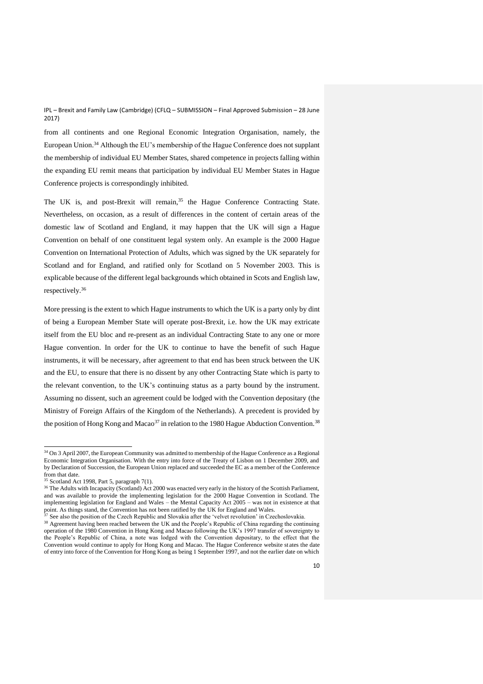from all continents and one Regional Economic Integration Organisation, namely, the European Union.<sup>34</sup> Although the EU's membership of the Hague Conference does not supplant the membership of individual EU Member States, shared competence in projects falling within the expanding EU remit means that participation by individual EU Member States in Hague Conference projects is correspondingly inhibited.

The UK is, and post-Brexit will remain,<sup>35</sup> the Hague Conference Contracting State. Nevertheless, on occasion, as a result of differences in the content of certain areas of the domestic law of Scotland and England, it may happen that the UK will sign a Hague Convention on behalf of one constituent legal system only. An example is the 2000 Hague Convention on International Protection of Adults, which was signed by the UK separately for Scotland and for England, and ratified only for Scotland on 5 November 2003. This is explicable because of the different legal backgrounds which obtained in Scots and English law, respectively.<sup>36</sup>

More pressing is the extent to which Hague instruments to which the UK is a party only by dint of being a European Member State will operate post-Brexit, i.e. how the UK may extricate itself from the EU bloc and re-present as an individual Contracting State to any one or more Hague convention. In order for the UK to continue to have the benefit of such Hague instruments, it will be necessary, after agreement to that end has been struck between the UK and the EU, to ensure that there is no dissent by any other Contracting State which is party to the relevant convention, to the UK's continuing status as a party bound by the instrument. Assuming no dissent, such an agreement could be lodged with the Convention depositary (the Ministry of Foreign Affairs of the Kingdom of the Netherlands). A precedent is provided by the position of Hong Kong and Macao<sup>37</sup> in relation to the 1980 Hague Abduction Convention.<sup>38</sup>

<sup>&</sup>lt;sup>34</sup> On 3 April 2007, the European Community was admitted to membership of the Hague Conference as a Regional Economic Integration Organisation. With the entry into force of the Treaty of Lisbon on 1 December 2009, and by Declaration of Succession, the European Union replaced and succeeded the EC as a member of the Conference from that date.

<sup>35</sup> Scotland Act 1998, Part 5, paragraph 7(1).

<sup>&</sup>lt;sup>36</sup> The Adults with Incapacity (Scotland) Act 2000 was enacted very early in the history of the Scottish Parliament, and was available to provide the implementing legislation for the 2000 Hague Convention in Scotland. The implementing legislation for England and Wales – the Mental Capacity Act 2005 – was not in existence at that point. As things stand, the Convention has not been ratified by the UK for England and Wales.

<sup>&</sup>lt;sup>37</sup> See also the position of the Czech Republic and Slovakia after the 'velvet revolution' in Czechoslovakia<sup>2</sup>

<sup>&</sup>lt;sup>38</sup> Agreement having been reached between the UK and the People's Republic of China regarding the continuing operation of the 1980 Convention in Hong Kong and Macao following the UK's 1997 transfer of sovereignty to the People's Republic of China, a note was lodged with the Convention depositary, to the effect that the Convention would continue to apply for Hong Kong and Macao. The Hague Conference website st ates the date of entry into force of the Convention for Hong Kong as being 1 September 1997, and not the earlier date on which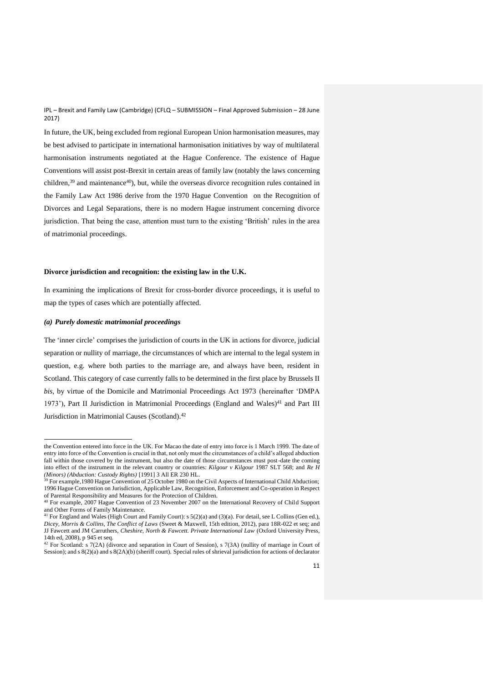In future, the UK, being excluded from regional European Union harmonisation measures, may be best advised to participate in international harmonisation initiatives by way of multilateral harmonisation instruments negotiated at the Hague Conference. The existence of Hague Conventions will assist post-Brexit in certain areas of family law (notably the laws concerning children,<sup>39</sup> and maintenance<sup>40</sup>), but, while the overseas divorce recognition rules contained in the Family Law Act 1986 derive from the 1970 Hague Convention on the Recognition of Divorces and Legal Separations, there is no modern Hague instrument concerning divorce jurisdiction. That being the case, attention must turn to the existing 'British' rules in the area of matrimonial proceedings.

# **Divorce jurisdiction and recognition: the existing law in the U.K.**

In examining the implications of Brexit for cross-border divorce proceedings, it is useful to map the types of cases which are potentially affected.

#### *(a) Purely domestic matrimonial proceedings*

 $\overline{a}$ 

The 'inner circle' comprises the jurisdiction of courts in the UK in actions for divorce, judicial separation or nullity of marriage, the circumstances of which are internal to the legal system in question, e.g. where both parties to the marriage are, and always have been, resident in Scotland. This category of case currently falls to be determined in the first place by Brussels II *bis*, by virtue of the Domicile and Matrimonial Proceedings Act 1973 (hereinafter 'DMPA 1973'), Part II Jurisdiction in Matrimonial Proceedings (England and Wales)<sup>41</sup> and Part III Jurisdiction in Matrimonial Causes (Scotland).<sup>42</sup>

the Convention entered into force in the UK. For Macao the date of entry into force is 1 March 1999. The date of entry into force of the Convention is crucial in that, not only must the circumstances of a child's alleged abduction fall within those covered by the instrument, but also the date of those circumstances must post-date the coming into effect of the instrument in the relevant country or countries: *Kilgour v Kilgour* 1987 SLT 568; and *Re H (Minors) (Abduction: Custody Rights)* [1991] 3 All ER 230 HL.

<sup>&</sup>lt;sup>39</sup> For example, 1980 Hague Convention of 25 October 1980 on the Civil Aspects of International Child Abduction; 1996 Hague Convention on Jurisdiction, Applicable Law, Recognition, Enforcement and Co-operation in Respect of Parental Responsibility and Measures for the Protection of Children.

<sup>40</sup> For example, 2007 Hague Convention of 23 November 2007 on the International Recovery of Child Support and Other Forms of Family Maintenance.

<sup>41</sup> For England and Wales (High Court and Family Court): s 5(2)(a) and (3)(a). For detail, see L Collins (Gen ed.), *Dicey, Morris & Collins, The Conflict of Laws* (Sweet & Maxwell, 15th edition, 2012), para 18R-022 et seq; and JJ Fawcett and JM Carruthers, *Cheshire, North & Fawcett. Private International Law* (Oxford University Press, 14th ed, 2008), p 945 et seq.

<sup>42</sup> For Scotland: s 7(2A) (divorce and separation in Court of Session), s 7(3A) (nullity of marriage in Court of Session); and s  $8(2)$ (a) and s  $8(2)$ (b) (sheriff court). Special rules of shrieval jurisdiction for actions of declarator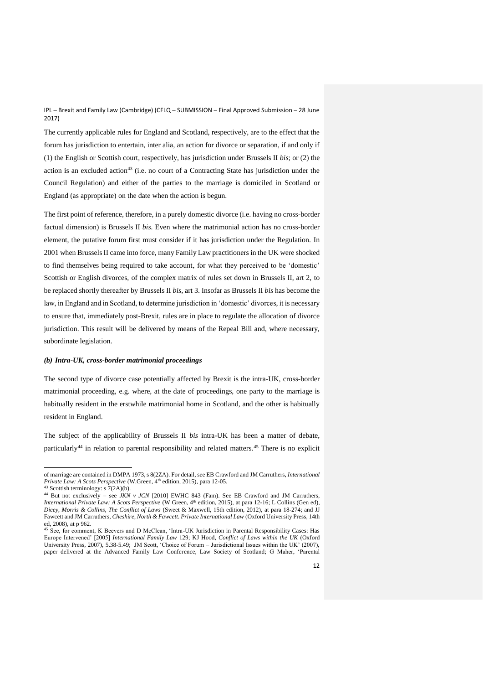The currently applicable rules for England and Scotland, respectively, are to the effect that the forum has jurisdiction to entertain, inter alia, an action for divorce or separation, if and only if (1) the English or Scottish court, respectively, has jurisdiction under Brussels II *bis*; or (2) the action is an excluded action<sup>43</sup> (i.e. no court of a Contracting State has jurisdiction under the Council Regulation) and either of the parties to the marriage is domiciled in Scotland or England (as appropriate) on the date when the action is begun.

The first point of reference, therefore, in a purely domestic divorce (i.e. having no cross-border factual dimension) is Brussels II *bis*. Even where the matrimonial action has no cross-border element, the putative forum first must consider if it has jurisdiction under the Regulation. In 2001 when Brussels II came into force, many Family Law practitioners in the UK were shocked to find themselves being required to take account, for what they perceived to be 'domestic' Scottish or English divorces, of the complex matrix of rules set down in Brussels II, art 2, to be replaced shortly thereafter by Brussels II *bis*, art 3. Insofar as Brussels II *bis* has become the law, in England and in Scotland, to determine jurisdiction in 'domestic' divorces, it is necessary to ensure that, immediately post-Brexit, rules are in place to regulate the allocation of divorce jurisdiction. This result will be delivered by means of the Repeal Bill and, where necessary, subordinate legislation.

# *(b) Intra-UK, cross-border matrimonial proceedings*

The second type of divorce case potentially affected by Brexit is the intra-UK, cross-border matrimonial proceeding, e.g. where, at the date of proceedings, one party to the marriage is habitually resident in the erstwhile matrimonial home in Scotland, and the other is habitually resident in England.

The subject of the applicability of Brussels II *bis* intra-UK has been a matter of debate, particularly<sup>44</sup> in relation to parental responsibility and related matters.<sup>45</sup> There is no explicit

j

of marriage are contained in DMPA 1973, s 8(2ZA). For detail, see EB Crawford and JM Carruthers, *International Private Law: A Scots Perspective* (W.Green, 4<sup>th</sup> edition, 2015), para 12-05.

<sup>&</sup>lt;sup>43</sup> Scottish terminology: s  $7(2A)(b)$ .

<sup>&</sup>lt;sup>44</sup> But not exclusively – see *JKN v JCN* [2010] EWHC 843 (Fam). See EB Crawford and JM Carruthers, *International Private Law: A Scots Perspective* (W Green, 4<sup>th</sup> edition, 2015), at para 12-16; L Collins (Gen ed), *Dicey, Morris & Collins, The Conflict of Laws* (Sweet & Maxwell, 15th edition, 2012), at para 18-274; and JJ Fawcett and JM Carruthers, *Cheshire, North & Fawcett. Private International Law* (Oxford University Press, 14th ed, 2008), at p 962.

<sup>45</sup> See, for comment, K Beevers and D McClean, 'Intra-UK Jurisdiction in Parental Responsibility Cases: Has Europe Intervened' [2005] *International Family Law* 129; KJ Hood, *Conflict of Laws within the UK* (Oxford University Press, 2007), 5.38-5.49; JM Scott, 'Choice of Forum – Jurisdictional Issues within the UK' (2007), paper delivered at the Advanced Family Law Conference, Law Society of Scotland; G Maher, 'Parental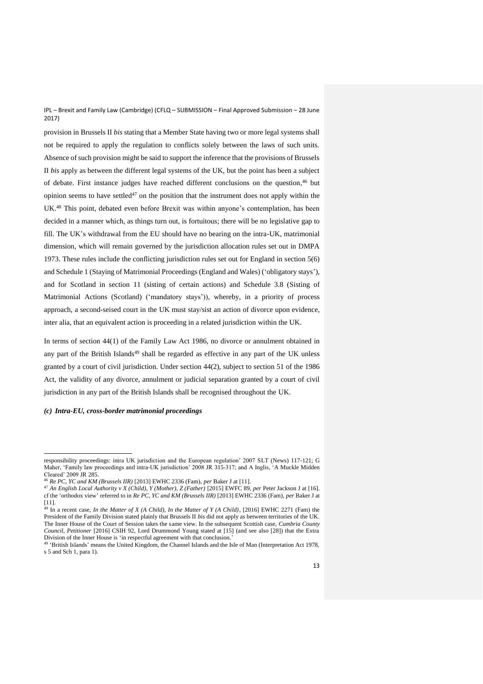provision in Brussels II *bis* stating that a Member State having two or more legal systems shall not be required to apply the regulation to conflicts solely between the laws of such units. Absence of such provision might be said to support the inference that the provisions of Brussels II *bis* apply as between the different legal systems of the UK, but the point has been a subject of debate. First instance judges have reached different conclusions on the question, <sup>46</sup> but opinion seems to have settled<sup>47</sup> on the position that the instrument does not apply within the UK. <sup>48</sup> This point, debated even before Brexit was within anyone's contemplation, has been decided in a manner which, as things turn out, is fortuitous; there will be no legislative gap to fill. The UK's withdrawal from the EU should have no bearing on the intra-UK, matrimonial dimension, which will remain governed by the jurisdiction allocation rules set out in DMPA 1973. These rules include the conflicting jurisdiction rules set out for England in section 5(6) and Schedule 1 (Staying of Matrimonial Proceedings (England and Wales) ('obligatory stays'), and for Scotland in section 11 (sisting of certain actions) and Schedule 3.8 (Sisting of Matrimonial Actions (Scotland) ('mandatory stays')), whereby, in a priority of process approach, a second-seised court in the UK must stay/sist an action of divorce upon evidence, inter alia, that an equivalent action is proceeding in a related jurisdiction within the UK.

In terms of section 44(1) of the Family Law Act 1986, no divorce or annulment obtained in any part of the British Islands<sup>49</sup> shall be regarded as effective in any part of the UK unless granted by a court of civil jurisdiction. Under section 44(2), subject to section 51 of the 1986 Act, the validity of any divorce, annulment or judicial separation granted by a court of civil jurisdiction in any part of the British Islands shall be recognised throughout the UK.

*(c) Intra-EU, cross-border matrimonial proceedings*

 $\overline{a}$ responsibility proceedings: intra UK jurisdiction and the European regulation' 2007 SLT (News) 117-121; G Maher, 'Family law proceedings and intra-UK jurisdiction' 2008 JR 315-317; and A Inglis, 'A Muckle Midden Cleared' 2009 JR 285.

<sup>46</sup> *Re PC, YC and KM (Brussels IIR)* [2013] EWHC 2336 (Fam), *per* Baker J at [11].

<sup>47</sup> *An English Local Authority v X (Child), Y (Mother), Z (Father)* [2015] EWFC 89, *per* Peter Jackson J at [16]. cf the 'orthodox view' referred to in *Re PC, YC and KM (Brussels IIR)* [2013] EWHC 2336 (Fam), *per* Baker J at [11].

 $^{48}$  In a recent case, *In the Matter of X (A Child), In the Matter of Y (A Child)*, [2016] EWHC 2271 (Fam) the President of the Family Division stated plainly that Brussels II *bis* did not apply as between territories of the UK. The Inner House of the Court of Session takes the same view. In the subsequent Scottish case, *Cumbria County Council, Petitioner* [2016] CSIH 92, Lord Drummond Young stated at [15] (and see also [28]) that the Extra Division of the Inner House is 'in respectful agreement with that conclusion.'

<sup>&</sup>lt;sup>49</sup> 'British Islands' means the United Kingdom, the Channel Islands and the Isle of Man (Interpretation Act 1978, s 5 and Sch 1, para 1).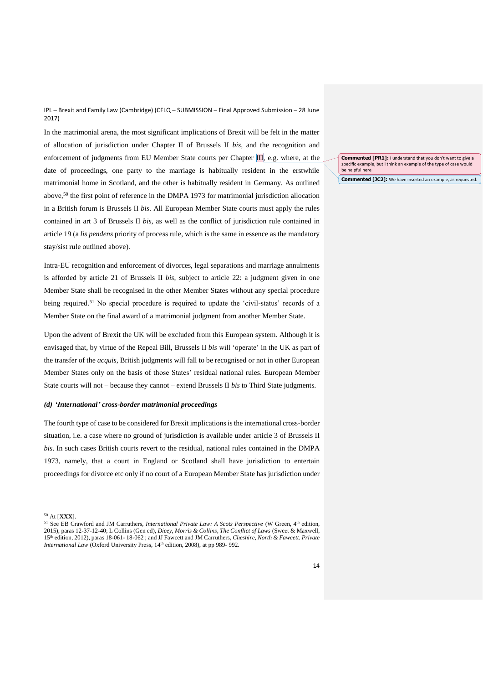In the matrimonial arena, the most significant implications of Brexit will be felt in the matter of allocation of jurisdiction under Chapter II of Brussels II *bis*, and the recognition and enforcement of judgments from EU Member State courts per Chapter III, e.g. where, at the date of proceedings, one party to the marriage is habitually resident in the erstwhile matrimonial home in Scotland, and the other is habitually resident in Germany. As outlined above, <sup>50</sup> the first point of reference in the DMPA 1973 for matrimonial jurisdiction allocation in a British forum is Brussels II *bis*. All European Member State courts must apply the rules contained in art 3 of Brussels II *bis*, as well as the conflict of jurisdiction rule contained in article 19 (a *lis pendens* priority of process rule, which is the same in essence as the mandatory stay/sist rule outlined above).

Intra-EU recognition and enforcement of divorces, legal separations and marriage annulments is afforded by article 21 of Brussels II *bis*, subject to article 22: a judgment given in one Member State shall be recognised in the other Member States without any special procedure being required.<sup>51</sup> No special procedure is required to update the 'civil-status' records of a Member State on the final award of a matrimonial judgment from another Member State.

Upon the advent of Brexit the UK will be excluded from this European system. Although it is envisaged that, by virtue of the Repeal Bill, Brussels II *bis* will 'operate' in the UK as part of the transfer of the *acquis*, British judgments will fall to be recognised or not in other European Member States only on the basis of those States' residual national rules. European Member State courts will not – because they cannot – extend Brussels II *bis* to Third State judgments.

#### *(d) 'International' cross-border matrimonial proceedings*

The fourth type of case to be considered for Brexit implications is the international cross-border situation, i.e. a case where no ground of jurisdiction is available under article 3 of Brussels II *bis*. In such cases British courts revert to the residual, national rules contained in the DMPA 1973, namely, that a court in England or Scotland shall have jurisdiction to entertain proceedings for divorce etc only if no court of a European Member State has jurisdiction under

 $\overline{a}$ 

**Commented [PR1]:** I understand that you don't want to give a specific example, but I think an example of the type of case would be helpful here

**Commented [JC2]:** We have inserted an example, as requested.

<sup>50</sup> At [**XXX**].

<sup>&</sup>lt;sup>51</sup> See EB Crawford and JM Carruthers, *International Private Law: A Scots Perspective* (W Green, 4<sup>th</sup> edition, 2015), paras 12-37-12-40; L Collins (Gen ed), *Dicey, Morris & Collins, The Conflict of Laws* (Sweet & Maxwell, 15th edition, 2012), paras 18-061- 18-062 ; and JJ Fawcett and JM Carruthers, *Cheshire, North & Fawcett. Private*  International Law (Oxford University Press, 14<sup>th</sup> edition, 2008), at pp 989-992.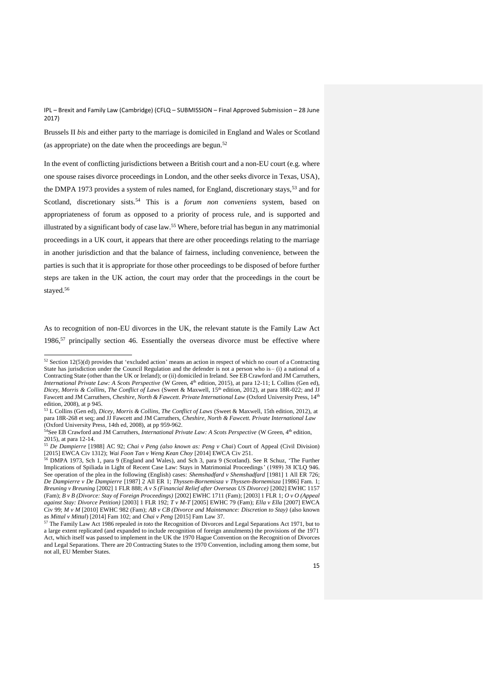Brussels II *bis* and either party to the marriage is domiciled in England and Wales or Scotland (as appropriate) on the date when the proceedings are begun. $52$ 

In the event of conflicting jurisdictions between a British court and a non-EU court (e.g. where one spouse raises divorce proceedings in London, and the other seeks divorce in Texas, USA), the DMPA 1973 provides a system of rules named, for England, discretionary stays,<sup>53</sup> and for Scotland, discretionary sists.<sup>54</sup> This is a *forum non conveniens* system, based on appropriateness of forum as opposed to a priority of process rule, and is supported and illustrated by a significant body of case law.<sup>55</sup> Where, before trial has begun in any matrimonial proceedings in a UK court, it appears that there are other proceedings relating to the marriage in another jurisdiction and that the balance of fairness, including convenience, between the parties is such that it is appropriate for those other proceedings to be disposed of before further steps are taken in the UK action, the court may order that the proceedings in the court be stayed. 56

As to recognition of non-EU divorces in the UK, the relevant statute is the Family Law Act 1986, $57$  principally section 46. Essentially the overseas divorce must be effective where

 $\overline{a}$  $52$  Section 12(5)(d) provides that 'excluded action' means an action in respect of which no court of a Contracting State has jurisdiction under the Council Regulation and the defender is not a person who is– (i) a national of a Contracting State (other than the UK or Ireland); or (ii) domiciled in Ireland. See EB Crawford and JM Carruthers, *International Private Law: A Scots Perspective* (W Green, 4<sup>th</sup> edition, 2015), at para 12-11; L Collins (Gen ed), Dicey, Morris & Collins, The Conflict of Laws (Sweet & Maxwell, 15<sup>th</sup> edition, 2012), at para 18R-022; and JJ Fawcett and JM Carruthers, *Cheshire, North & Fawcett. Private International Law* (Oxford University Press, 14th edition, 2008), at p 945.

<sup>53</sup> L Collins (Gen ed), *Dicey, Morris & Collins, The Conflict of Laws* (Sweet & Maxwell, 15th edition, 2012), at para 18R-268 et seq; and JJ Fawcett and JM Carruthers, *Cheshire, North & Fawcett. Private International Law* (Oxford University Press, 14th ed, 2008), at pp 959-962.

<sup>&</sup>lt;sup>54</sup>See EB Crawford and JM Carruthers, *International Private Law: A Scots Perspective* (W Green, 4<sup>th</sup> edition, 2015), at para 12-14.

<sup>55</sup> *De Dampierre* [1988] AC 92; *Chai v Peng (also known as: Peng v Chai*) Court of Appeal (Civil Division) [2015] EWCA Civ 1312); *Wai Foon Tan v Weng Kean Choy* [2014] EWCA Civ 251.

<sup>56</sup> DMPA 1973, Sch 1, para 9 (England and Wales), and Sch 3, para 9 (Scotland). See R Schuz, 'The Further Implications of Spiliada in Light of Recent Case Law: Stays in Matrimonial Proceedings' (1989) 38 ICLQ 946. See operation of the plea in the following (English) cases: *Shemshadfard v Shemshadfard* [1981] 1 All ER 726; *De Dampierre v De Dampierre* [1987] 2 All ER 1; *Thyssen-Bornemisza v Thyssen-Bornemisza* [1986] Fam. 1; *Breuning v Breuning* [2002] 1 FLR 888; *A v S (Financial Relief after Overseas US Divorce)* [2002] EWHC 1157 (Fam); *B v B (Divorce: Stay of Foreign Proceedings)* [2002] EWHC 1711 (Fam); [2003] 1 FLR 1; *O v O (Appeal against Stay: Divorce Petition)* [2003] 1 FLR 192; *T v M-T* [2005] EWHC 79 (Fam); *Ella v Ella* [2007] EWCA Civ 99; *M v M* [2010] EWHC 982 (Fam); *AB v CB (Divorce and Maintenance: Discretion to Stay)* (also known as *Mittal v Mittal*) [2014] Fam 102; and *Chai v Peng* [2015] Fam Law 37.

<sup>57</sup> The Family Law Act 1986 repealed *in toto* the Recognition of Divorces and Legal Separations Act 1971, but to a large extent replicated (and expanded to include recognition of foreign annulments) the provisions of the 1971 Act, which itself was passed to implement in the UK the 1970 Hague Convention on the Recognition of Divorces and Legal Separations. There are 20 Contracting States to the 1970 Convention, including among them some, but not all, EU Member States.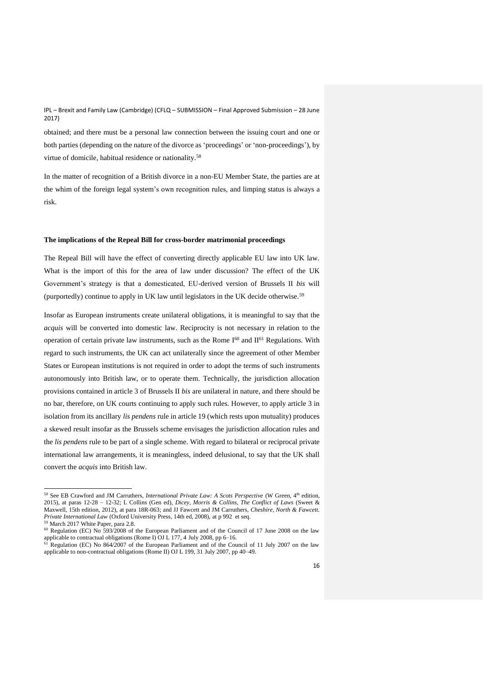obtained; and there must be a personal law connection between the issuing court and one or both parties (depending on the nature of the divorce as 'proceedings' or 'non-proceedings'), by virtue of domicile, habitual residence or nationality.<sup>58</sup>

In the matter of recognition of a British divorce in a non-EU Member State, the parties are at the whim of the foreign legal system's own recognition rules, and limping status is always a risk.

### **The implications of the Repeal Bill for cross-border matrimonial proceedings**

The Repeal Bill will have the effect of converting directly applicable EU law into UK law. What is the import of this for the area of law under discussion? The effect of the UK Government's strategy is that a domesticated, EU-derived version of Brussels II *bis* will (purportedly) continue to apply in UK law until legislators in the UK decide otherwise.<sup>59</sup>

Insofar as European instruments create unilateral obligations, it is meaningful to say that the *acquis* will be converted into domestic law. Reciprocity is not necessary in relation to the operation of certain private law instruments, such as the Rome  $I^{60}$  and  $II^{61}$  Regulations. With regard to such instruments, the UK can act unilaterally since the agreement of other Member States or European institutions is not required in order to adopt the terms of such instruments autonomously into British law, or to operate them. Technically, the jurisdiction allocation provisions contained in article 3 of Brussels II *bis* are unilateral in nature, and there should be no bar, therefore, on UK courts continuing to apply such rules. However, to apply article 3 in isolation from its ancillary *lis pendens* rule in article 19 (which rests upon mutuality) produces a skewed result insofar as the Brussels scheme envisages the jurisdiction allocation rules and the *lis pendens* rule to be part of a single scheme. With regard to bilateral or reciprocal private international law arrangements, it is meaningless, indeed delusional, to say that the UK shall convert the *acquis* into British law.

<sup>&</sup>lt;sup>58</sup> See EB Crawford and JM Carruthers, *International Private Law: A Scots Perspective* (W Green, 4<sup>th</sup> edition, 2015), at paras 12-28 – 12-32; L Collins (Gen ed), *Dicey, Morris & Collins, The Conflict of Laws* (Sweet & Maxwell, 15th edition, 2012), at para 18R-063; and JJ Fawcett and JM Carruthers, *Cheshire, North & Fawcett. Private International Law* (Oxford University Press, 14th ed, 2008), at p 992 et seq.

<sup>59</sup> March 2017 White Paper, para 2.8.

<sup>&</sup>lt;sup>60</sup> Regulation (EC) No 593/2008 of the European Parliament and of the Council of 17 June 2008 on the law applicable to contractual obligations (Rome I) OJ L 177, 4 July 2008, pp 6–16.

 $61$  Regulation (EC) No  $864/2007$  of the European Parliament and of the Council of 11 July 2007 on the law applicable to non-contractual obligations (Rome II) OJ L 199, 31 July 2007, pp 40–49.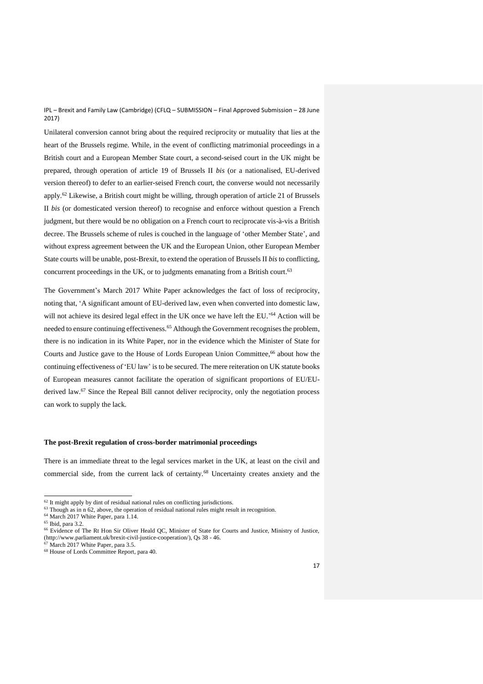Unilateral conversion cannot bring about the required reciprocity or mutuality that lies at the heart of the Brussels regime. While, in the event of conflicting matrimonial proceedings in a British court and a European Member State court, a second-seised court in the UK might be prepared, through operation of article 19 of Brussels II *bis* (or a nationalised, EU-derived version thereof) to defer to an earlier-seised French court, the converse would not necessarily apply.<sup>62</sup> Likewise, a British court might be willing, through operation of article 21 of Brussels II *bis* (or domesticated version thereof) to recognise and enforce without question a French judgment, but there would be no obligation on a French court to reciprocate vis-à-vis a British decree. The Brussels scheme of rules is couched in the language of 'other Member State', and without express agreement between the UK and the European Union, other European Member State courts will be unable, post-Brexit, to extend the operation of Brussels II *bis* to conflicting, concurrent proceedings in the UK, or to judgments emanating from a British court.<sup>63</sup>

The Government's March 2017 White Paper acknowledges the fact of loss of reciprocity, noting that, 'A significant amount of EU-derived law, even when converted into domestic law, will not achieve its desired legal effect in the UK once we have left the EU.'<sup>64</sup> Action will be needed to ensure continuing effectiveness.<sup>65</sup> Although the Government recognises the problem, there is no indication in its White Paper, nor in the evidence which the Minister of State for Courts and Justice gave to the House of Lords European Union Committee, <sup>66</sup> about how the continuing effectiveness of 'EU law' is to be secured. The mere reiteration on UK statute books of European measures cannot facilitate the operation of significant proportions of EU/EUderived law.<sup>67</sup> Since the Repeal Bill cannot deliver reciprocity, only the negotiation process can work to supply the lack.

### **The post-Brexit regulation of cross-border matrimonial proceedings**

There is an immediate threat to the legal services market in the UK, at least on the civil and commercial side, from the current lack of certainty.<sup>68</sup> Uncertainty creates anxiety and the

 $62$  It might apply by dint of residual national rules on conflicting jurisdictions.

 $63$  Though as in n 62, above, the operation of residual national rules might result in recognition.

<sup>64</sup> March 2017 White Paper, para 1.14.

<sup>65</sup> Ibid, para 3.2.

<sup>&</sup>lt;sup>66</sup> Evidence of The Rt Hon Sir Oliver Heald QC, Minister of State for Courts and Justice, Ministry of Justice, [\(http://www.parliament.uk/brexit-civil-justice-cooperation/\)](http://www.parliament.uk/brexit-civil-justice-cooperation/), Qs 38 - 46.

 $67$  March 2017 White Paper, para 3.5.

<sup>68</sup> House of Lords Committee Report, para 40.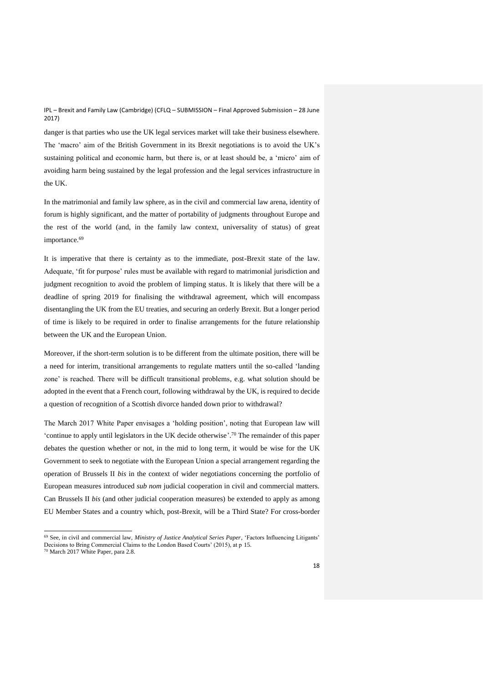danger is that parties who use the UK legal services market will take their business elsewhere. The 'macro' aim of the British Government in its Brexit negotiations is to avoid the UK's sustaining political and economic harm, but there is, or at least should be, a 'micro' aim of avoiding harm being sustained by the legal profession and the legal services infrastructure in the UK.

In the matrimonial and family law sphere, as in the civil and commercial law arena, identity of forum is highly significant, and the matter of portability of judgments throughout Europe and the rest of the world (and, in the family law context, universality of status) of great importance.<sup>69</sup>

It is imperative that there is certainty as to the immediate, post-Brexit state of the law. Adequate, 'fit for purpose' rules must be available with regard to matrimonial jurisdiction and judgment recognition to avoid the problem of limping status. It is likely that there will be a deadline of spring 2019 for finalising the withdrawal agreement, which will encompass disentangling the UK from the EU treaties, and securing an orderly Brexit. But a longer period of time is likely to be required in order to finalise arrangements for the future relationship between the UK and the European Union.

Moreover, if the short-term solution is to be different from the ultimate position, there will be a need for interim, transitional arrangements to regulate matters until the so-called 'landing zone' is reached. There will be difficult transitional problems, e.g. what solution should be adopted in the event that a French court, following withdrawal by the UK, is required to decide a question of recognition of a Scottish divorce handed down prior to withdrawal?

The March 2017 White Paper envisages a 'holding position', noting that European law will 'continue to apply until legislators in the UK decide otherwise'. <sup>70</sup> The remainder of this paper debates the question whether or not, in the mid to long term, it would be wise for the UK Government to seek to negotiate with the European Union a special arrangement regarding the operation of Brussels II *bis* in the context of wider negotiations concerning the portfolio of European measures introduced *sub nom* judicial cooperation in civil and commercial matters. Can Brussels II *bis* (and other judicial cooperation measures) be extended to apply as among EU Member States and a country which, post-Brexit, will be a Third State? For cross-border

<sup>69</sup> See, in civil and commercial law, *Ministry of Justice Analytical Series Paper*, 'Factors Influencing Litigants' Decisions to Bring Commercial Claims to the London Based Courts' (2015), at p 15.

<sup>70</sup> March 2017 White Paper, para 2.8.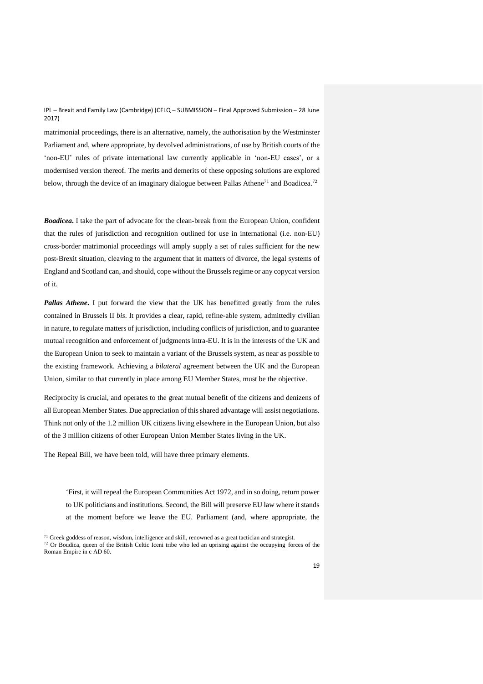matrimonial proceedings, there is an alternative, namely, the authorisation by the Westminster Parliament and, where appropriate, by devolved administrations, of use by British courts of the 'non-EU' rules of private international law currently applicable in 'non-EU cases', or a modernised version thereof. The merits and demerits of these opposing solutions are explored below, through the device of an imaginary dialogue between Pallas Athene<sup>71</sup> and Boadicea.<sup>72</sup>

*Boadicea***.** I take the part of advocate for the clean-break from the European Union, confident that the rules of jurisdiction and recognition outlined for use in international (i.e. non-EU) cross-border matrimonial proceedings will amply supply a set of rules sufficient for the new post-Brexit situation, cleaving to the argument that in matters of divorce, the legal systems of England and Scotland can, and should, cope without the Brussels regime or any copycat version of it.

*Pallas Athene***.** I put forward the view that the UK has benefitted greatly from the rules contained in Brussels II *bis*. It provides a clear, rapid, refine-able system, admittedly civilian in nature, to regulate matters of jurisdiction, including conflicts of jurisdiction, and to guarantee mutual recognition and enforcement of judgments intra-EU. It is in the interests of the UK and the European Union to seek to maintain a variant of the Brussels system, as near as possible to the existing framework. Achieving a *bilateral* agreement between the UK and the European Union, similar to that currently in place among EU Member States, must be the objective.

Reciprocity is crucial, and operates to the great mutual benefit of the citizens and denizens of all European Member States. Due appreciation of this shared advantage will assist negotiations. Think not only of the 1.2 million UK citizens living elsewhere in the European Union, but also of the 3 million citizens of other European Union Member States living in the UK.

The Repeal Bill, we have been told, will have three primary elements.

 $\overline{a}$ 

'First, it will repeal the European Communities Act 1972, and in so doing, return power to UK politicians and institutions. Second, the Bill will preserve EU law where it stands at the moment before we leave the EU. Parliament (and, where appropriate, the

 $71$  Greek goddess of reason, wisdom, intelligence and skill, renowned as a great tactician and strategist.

<sup>&</sup>lt;sup>72</sup> Or Boudica, queen of the British Celtic Iceni tribe who led an uprising against the occupying forces of the Roman Empire in c AD 60.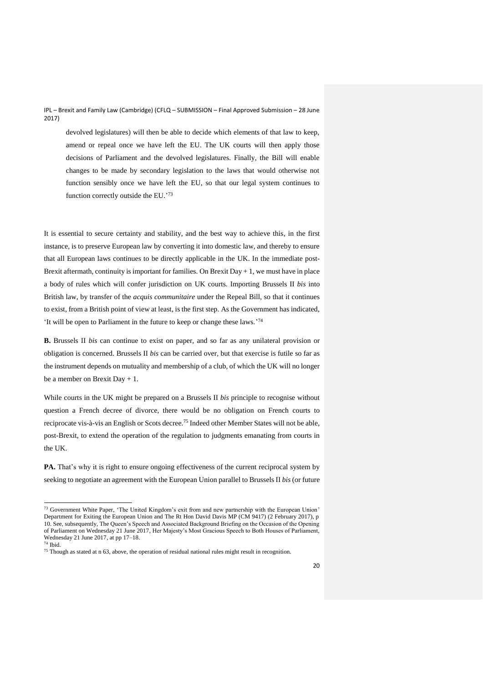devolved legislatures) will then be able to decide which elements of that law to keep, amend or repeal once we have left the EU. The UK courts will then apply those decisions of Parliament and the devolved legislatures. Finally, the Bill will enable changes to be made by secondary legislation to the laws that would otherwise not function sensibly once we have left the EU, so that our legal system continues to function correctly outside the EU.' 73

It is essential to secure certainty and stability, and the best way to achieve this, in the first instance, is to preserve European law by converting it into domestic law, and thereby to ensure that all European laws continues to be directly applicable in the UK. In the immediate post-Brexit aftermath, continuity is important for families. On Brexit Day  $+1$ , we must have in place a body of rules which will confer jurisdiction on UK courts. Importing Brussels II *bis* into British law, by transfer of the *acquis communitaire* under the Repeal Bill, so that it continues to exist, from a British point of view at least, is the first step. As the Government has indicated, 'It will be open to Parliament in the future to keep or change these laws.' 74

**B.** Brussels II *bis* can continue to exist on paper, and so far as any unilateral provision or obligation is concerned. Brussels II *bis* can be carried over, but that exercise is futile so far as the instrument depends on mutuality and membership of a club, of which the UK will no longer be a member on Brexit Day + 1.

While courts in the UK might be prepared on a Brussels II *bis* principle to recognise without question a French decree of divorce, there would be no obligation on French courts to reciprocate vis-à-vis an English or Scots decree.<sup>75</sup> Indeed other Member States will not be able, post-Brexit, to extend the operation of the regulation to judgments emanating from courts in the UK.

**PA.** That's why it is right to ensure ongoing effectiveness of the current reciprocal system by seeking to negotiate an agreement with the European Union parallel to Brussels II *bis* (or future

<sup>&</sup>lt;sup>73</sup> Government White Paper, 'The United Kingdom's exit from and new partnership with the European Union' Department for Exiting the European Union and The Rt Hon David Davis MP (CM 9417) (2 February 2017), p 10. See, subsequently, The Queen's Speech and Associated Background Briefing on the Occasion of the Opening of Parliament on Wednesday 21 June 2017, Her Majesty's Most Gracious Speech to Both Houses of Parliament, Wednesday 21 June 2017, at pp 17–18.

<sup>74</sup> Ibid.

 $75$  Though as stated at n 63, above, the operation of residual national rules might result in recognition.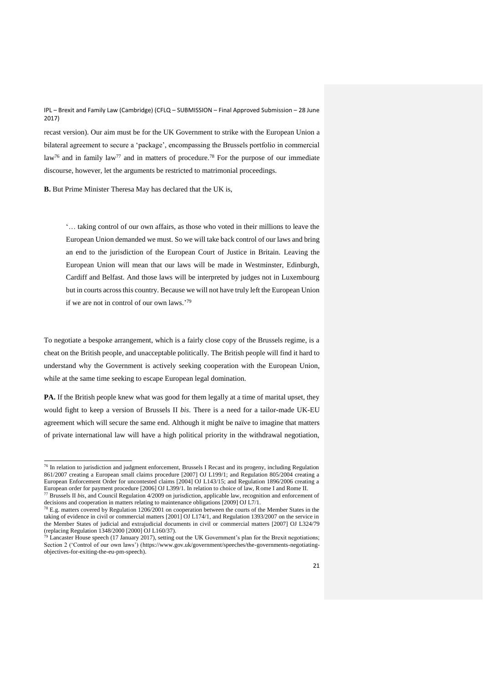recast version). Our aim must be for the UK Government to strike with the European Union a bilateral agreement to secure a 'package', encompassing the Brussels portfolio in commercial law<sup>76</sup> and in family law<sup>77</sup> and in matters of procedure.<sup>78</sup> For the purpose of our immediate discourse, however, let the arguments be restricted to matrimonial proceedings.

**B.** But Prime Minister Theresa May has declared that the UK is,

'… taking control of our own affairs, as those who voted in their millions to leave the European Union demanded we must. So we will take back control of our laws and bring an end to the jurisdiction of the European Court of Justice in Britain. Leaving the European Union will mean that our laws will be made in Westminster, Edinburgh, Cardiff and Belfast. And those laws will be interpreted by judges not in Luxembourg but in courts across this country. Because we will not have truly left the European Union if we are not in control of our own laws.'79

To negotiate a bespoke arrangement, which is a fairly close copy of the Brussels regime, is a cheat on the British people, and unacceptable politically. The British people will find it hard to understand why the Government is actively seeking cooperation with the European Union, while at the same time seeking to escape European legal domination.

**PA.** If the British people knew what was good for them legally at a time of marital upset, they would fight to keep a version of Brussels II *bis*. There is a need for a tailor-made UK-EU agreement which will secure the same end. Although it might be naïve to imagine that matters of private international law will have a high political priority in the withdrawal negotiation,

 $76$  In relation to jurisdiction and judgment enforcement, Brussels I Recast and its progeny, including Regulation 861/2007 creating a European small claims procedure [2007] OJ L199/1; and Regulation 805/2004 creating a European Enforcement Order for uncontested claims [2004] OJ L143/15; and Regulation 1896/2006 creating a European order for payment procedure [2006] OJ L399/1. In relation to choice of law, Rome I and Rome II.

<sup>77</sup> Brussels II *bis*, and Council Regulation 4/2009 on jurisdiction, applicable law, recognition and enforcement of decisions and cooperation in matters relating to maintenance obligations [2009] OJ L7/1.

<sup>&</sup>lt;sup>78</sup> E.g. matters covered by Regulation 1206/2001 on cooperation between the courts of the Member States in the taking of evidence in civil or commercial matters [2001] OJ L174/1, and Regulation 1393/2007 on the service in the Member States of judicial and extrajudicial documents in civil or commercial matters [2007] OJ L324/79 (replacing Regulation 1348/2000 [2000] OJ L160/37).

 $79$  Lancaster House speech (17 January 2017), setting out the UK Government's plan for the Brexit negotiations; Section 2 ('Control of our own laws') [\(https://www.gov.uk/government/speeches/the-governments-negotiating](https://www.gov.uk/government/speeches/the-governments-negotiating-objectives-for-exiting-the-eu-pm-speech)[objectives-for-exiting-the-eu-pm-speech\)](https://www.gov.uk/government/speeches/the-governments-negotiating-objectives-for-exiting-the-eu-pm-speech).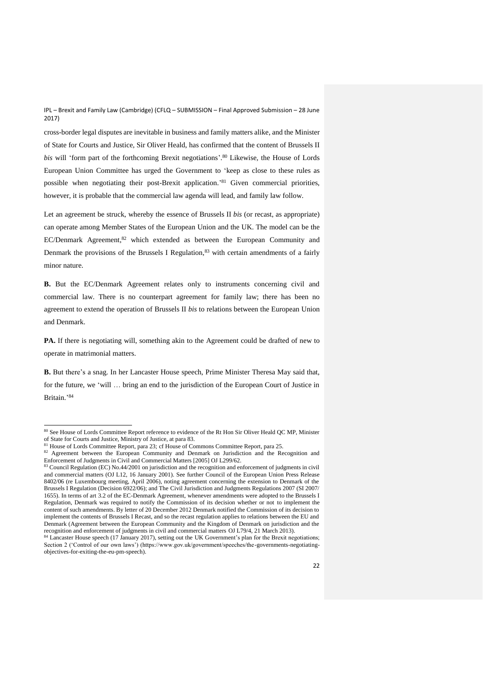cross-border legal disputes are inevitable in business and family matters alike, and the Minister of State for Courts and Justice, Sir Oliver Heald, has confirmed that the content of Brussels II *bis* will 'form part of the forthcoming Brexit negotiations'. <sup>80</sup> Likewise, the House of Lords European Union Committee has urged the Government to 'keep as close to these rules as possible when negotiating their post-Brexit application.' <sup>81</sup> Given commercial priorities, however, it is probable that the commercial law agenda will lead, and family law follow.

Let an agreement be struck, whereby the essence of Brussels II *bis* (or recast, as appropriate) can operate among Member States of the European Union and the UK. The model can be the  $EC/Denmark$  Agreement, $82$  which extended as between the European Community and Denmark the provisions of the Brussels I Regulation, $83$  with certain amendments of a fairly minor nature.

**B.** But the EC/Denmark Agreement relates only to instruments concerning civil and commercial law. There is no counterpart agreement for family law; there has been no agreement to extend the operation of Brussels II *bis* to relations between the European Union and Denmark.

**PA.** If there is negotiating will, something akin to the Agreement could be drafted of new to operate in matrimonial matters.

**B.** But there's a snag. In her Lancaster House speech, Prime Minister Theresa May said that, for the future, we 'will … bring an end to the jurisdiction of the European Court of Justice in Britain.' 84

<sup>&</sup>lt;sup>80</sup> See House of Lords Committee Report reference to evidence of the Rt Hon Sir Oliver Heald QC MP, Minister of State for Courts and Justice, Ministry of Justice, at para 83.

<sup>81</sup> House of Lords Committee Report, para 23; cf House of Commons Committee Report, para 25.

<sup>&</sup>lt;sup>82</sup> Agreement between the European Community and Denmark on Jurisdiction and the Recognition and Enforcement of Judgments in Civil and Commercial Matters [2005] OJ L299/62.

<sup>83</sup> Council Regulation (EC) No.44/2001 on jurisdiction and the recognition and enforcement of judgments in civil and commercial matters (OJ L12, 16 January 2001). See further Council of the European Union Press Release 8402/06 (re Luxembourg meeting, April 2006), noting agreement concerning the extension to Denmark of the Brussels I Regulation (Decision 6922/06); and The Civil Jurisdiction and Judgments Regulations 2007 (SI 2007/ 1655). In terms of art 3.2 of the EC-Denmark Agreement, whenever amendments were adopted to the Brussels I Regulation, Denmark was required to notify the Commission of its decision whether or not to implement the content of such amendments. By letter of 20 December 2012 Denmark notified the Commission of its decision to implement the contents of Brussels I Recast, and so the recast regulation applies to relations between the EU and Denmark (Agreement between the European Community and the Kingdom of Denmark on jurisdiction and the recognition and enforcement of judgments in civil and commercial matters OJ L79/4, 21 March 2013).

<sup>84</sup> Lancaster House speech (17 January 2017), setting out the UK Government's plan for the Brexit negotiations; Section 2 ('Control of our own laws') (https://www.gov.uk/government/speeches/the-governments-negotiatingobjectives-for-exiting-the-eu-pm-speech).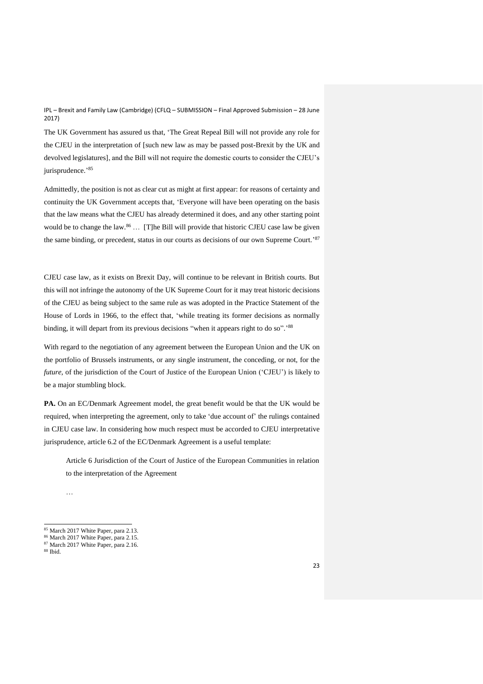The UK Government has assured us that, 'The Great Repeal Bill will not provide any role for the CJEU in the interpretation of [such new law as may be passed post-Brexit by the UK and devolved legislatures], and the Bill will not require the domestic courts to consider the CJEU's jurisprudence.' 85

Admittedly, the position is not as clear cut as might at first appear: for reasons of certainty and continuity the UK Government accepts that, 'Everyone will have been operating on the basis that the law means what the CJEU has already determined it does, and any other starting point would be to change the law.<sup>86</sup> ... [T]he Bill will provide that historic CJEU case law be given the same binding, or precedent, status in our courts as decisions of our own Supreme Court.'<sup>87</sup>

CJEU case law, as it exists on Brexit Day, will continue to be relevant in British courts. But this will not infringe the autonomy of the UK Supreme Court for it may treat historic decisions of the CJEU as being subject to the same rule as was adopted in the Practice Statement of the House of Lords in 1966, to the effect that, 'while treating its former decisions as normally binding, it will depart from its previous decisions "when it appears right to do so".'<sup>88</sup>

With regard to the negotiation of any agreement between the European Union and the UK on the portfolio of Brussels instruments, or any single instrument, the conceding, or not, for the *future*, of the jurisdiction of the Court of Justice of the European Union ('CJEU') is likely to be a major stumbling block.

PA. On an EC/Denmark Agreement model, the great benefit would be that the UK would be required, when interpreting the agreement, only to take 'due account of' the rulings contained in CJEU case law. In considering how much respect must be accorded to CJEU interpretative jurisprudence, article 6.2 of the EC/Denmark Agreement is a useful template:

Article 6 Jurisdiction of the Court of Justice of the European Communities in relation to the interpretation of the Agreement

…

<sup>&</sup>lt;sup>85</sup> March 2017 White Paper, para 2.13.

<sup>86</sup> March 2017 White Paper, para 2.15.

<sup>&</sup>lt;sup>87</sup> March 2017 White Paper, para 2.16.

<sup>88</sup> Ibid.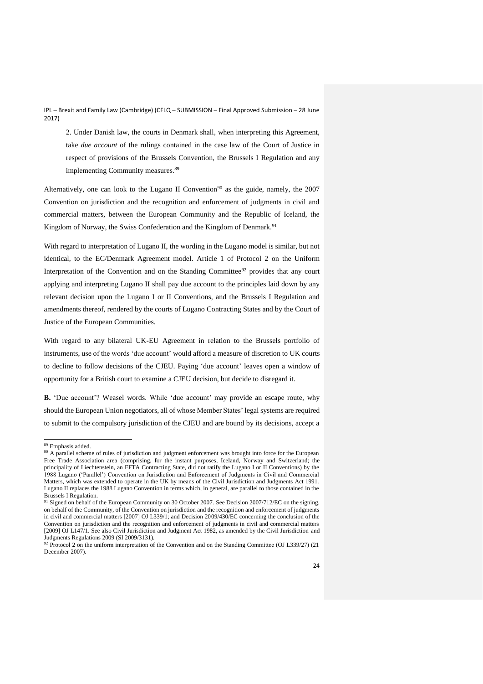2. Under Danish law, the courts in Denmark shall, when interpreting this Agreement, take *due account* of the rulings contained in the case law of the Court of Justice in respect of provisions of the Brussels Convention, the Brussels I Regulation and any implementing Community measures.<sup>89</sup>

Alternatively, one can look to the Lugano II Convention<sup>90</sup> as the guide, namely, the  $2007$ Convention on jurisdiction and the recognition and enforcement of judgments in civil and commercial matters, between the European Community and the Republic of Iceland, the Kingdom of Norway, the Swiss Confederation and the Kingdom of Denmark.<sup>91</sup>

With regard to interpretation of Lugano II, the wording in the Lugano model is similar, but not identical, to the EC/Denmark Agreement model. Article 1 of Protocol 2 on the Uniform Interpretation of the Convention and on the Standing Committee<sup>92</sup> provides that any court applying and interpreting Lugano II shall pay due account to the principles laid down by any relevant decision upon the Lugano I or II Conventions, and the Brussels I Regulation and amendments thereof, rendered by the courts of Lugano Contracting States and by the Court of Justice of the European Communities.

With regard to any bilateral UK-EU Agreement in relation to the Brussels portfolio of instruments, use of the words 'due account' would afford a measure of discretion to UK courts to decline to follow decisions of the CJEU. Paying 'due account' leaves open a window of opportunity for a British court to examine a CJEU decision, but decide to disregard it.

**B.** 'Due account'? Weasel words. While 'due account' may provide an escape route, why should the European Union negotiators, all of whose Member States' legal systems are required to submit to the compulsory jurisdiction of the CJEU and are bound by its decisions, accept a

<sup>89</sup> Emphasis added.

<sup>&</sup>lt;sup>90</sup> A parallel scheme of rules of jurisdiction and judgment enforcement was brought into force for the European Free Trade Association area (comprising, for the instant purposes, Iceland, Norway and Switzerland; the principality of Liechtenstein, an EFTA Contracting State, did not ratify the Lugano I or II Conventions) by the 1988 Lugano ('Parallel') Convention on Jurisdiction and Enforcement of Judgments in Civil and Commercial Matters, which was extended to operate in the UK by means of the Civil Jurisdiction and Judgments Act 1991. Lugano II replaces the 1988 Lugano Convention in terms which, in general, are parallel to those contained in the Brussels I Regulation.

<sup>&</sup>lt;sup>91</sup> Signed on behalf of the European Community on 30 October 2007. See Decision 2007/712/EC on the signing, on behalf of the Community, of the Convention on jurisdiction and the recognition and enforcement of judgments in civil and commercial matters [2007] OJ L339/1; and Decision 2009/430/EC concerning the conclusion of the Convention on jurisdiction and the recognition and enforcement of judgments in civil and commercial matters [2009] OJ L147/1. See also Civil Jurisdiction and Judgment Act 1982, as amended by the Civil Jurisdiction and Judgments Regulations 2009 (SI 2009/3131).

<sup>92</sup> Protocol 2 on the uniform interpretation of the Convention and on the Standing Committee (OJ L339/27) (21 December 2007).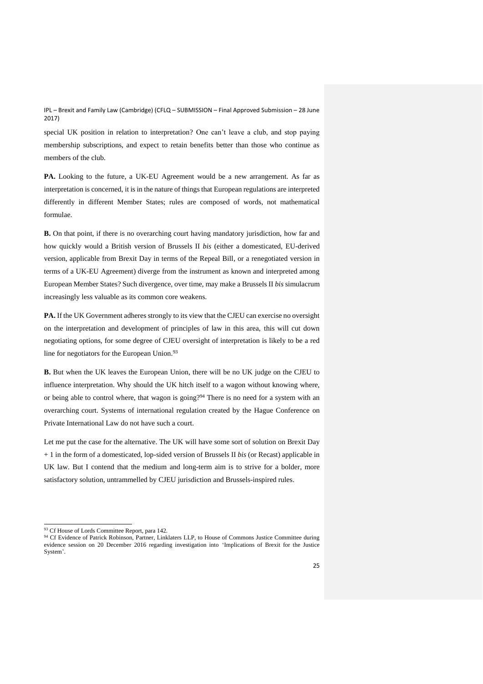special UK position in relation to interpretation? One can't leave a club, and stop paying membership subscriptions, and expect to retain benefits better than those who continue as members of the club.

**PA.** Looking to the future, a UK-EU Agreement would be a new arrangement. As far as interpretation is concerned, it is in the nature of things that European regulations are interpreted differently in different Member States; rules are composed of words, not mathematical formulae.

**B.** On that point, if there is no overarching court having mandatory jurisdiction, how far and how quickly would a British version of Brussels II *bis* (either a domesticated, EU-derived version, applicable from Brexit Day in terms of the Repeal Bill, or a renegotiated version in terms of a UK-EU Agreement) diverge from the instrument as known and interpreted among European Member States? Such divergence, over time, may make a Brussels II *bis* simulacrum increasingly less valuable as its common core weakens.

**PA.** If the UK Government adheres strongly to its view that the CJEU can exercise no oversight on the interpretation and development of principles of law in this area, this will cut down negotiating options, for some degree of CJEU oversight of interpretation is likely to be a red line for negotiators for the European Union.<sup>93</sup>

**B.** But when the UK leaves the European Union, there will be no UK judge on the CJEU to influence interpretation. Why should the UK hitch itself to a wagon without knowing where, or being able to control where, that wagon is going?<sup>94</sup> There is no need for a system with an overarching court. Systems of international regulation created by the Hague Conference on Private International Law do not have such a court.

Let me put the case for the alternative. The UK will have some sort of solution on Brexit Day + 1 in the form of a domesticated, lop-sided version of Brussels II *bis* (or Recast) applicable in UK law. But I contend that the medium and long-term aim is to strive for a bolder, more satisfactory solution, untrammelled by CJEU jurisdiction and Brussels-inspired rules.

<sup>&</sup>lt;sup>93</sup> Cf House of Lords Committee Report, para 142.

<sup>94</sup> Cf Evidence of Patrick Robinson, Partner, Linklaters LLP, to House of Commons Justice Committee during evidence session on 20 December 2016 regarding investigation into 'Implications of Brexit for the Justice System'.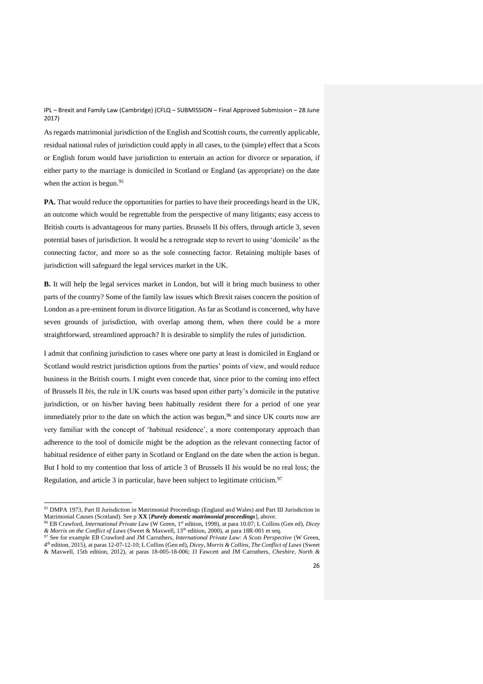As regards matrimonial jurisdiction of the English and Scottish courts, the currently applicable, residual national rules of jurisdiction could apply in all cases, to the (simple) effect that a Scots or English forum would have jurisdiction to entertain an action for divorce or separation, if either party to the marriage is domiciled in Scotland or England (as appropriate) on the date when the action is begun.<sup>95</sup>

**PA.** That would reduce the opportunities for parties to have their proceedings heard in the UK, an outcome which would be regrettable from the perspective of many litigants; easy access to British courts is advantageous for many parties. Brussels II *bis* offers, through article 3, seven potential bases of jurisdiction. It would be a retrograde step to revert to using 'domicile' as the connecting factor, and more so as the sole connecting factor. Retaining multiple bases of jurisdiction will safeguard the legal services market in the UK.

**B.** It will help the legal services market in London, but will it bring much business to other parts of the country? Some of the family law issues which Brexit raises concern the position of London as a pre-eminent forum in divorce litigation. As far as Scotland is concerned, why have seven grounds of jurisdiction, with overlap among them, when there could be a more straightforward, streamlined approach? It is desirable to simplify the rules of jurisdiction.

I admit that confining jurisdiction to cases where one party at least is domiciled in England or Scotland would restrict jurisdiction options from the parties' points of view, and would reduce business in the British courts. I might even concede that, since prior to the coming into effect of Brussels II *bis*, the rule in UK courts was based upon either party's domicile in the putative jurisdiction, or on his/her having been habitually resident there for a period of one year immediately prior to the date on which the action was begun,  $96$  and since UK courts now are very familiar with the concept of 'habitual residence', a more contemporary approach than adherence to the tool of domicile might be the adoption as the relevant connecting factor of habitual residence of either party in Scotland or England on the date when the action is begun. But I hold to my contention that loss of article 3 of Brussels II *bis* would be no real loss; the Regulation, and article 3 in particular, have been subject to legitimate criticism.<sup>97</sup>

<sup>95</sup> DMPA 1973, Part II Jurisdiction in Matrimonial Proceedings (England and Wales) and Part III Jurisdiction in Matrimonial Causes (Scotland). See p **XX** [*Purely domestic matrimonial proceedings*], above.

<sup>96</sup> EB Crawford, *International Private Law* (W Green, 1st edition, 1998), at para 10.07; L Collins (Gen ed), *Dicey & Morris on the Conflict of Laws* (Sweet & Maxwell, 13th edition, 2000), at para 18R-001 et seq.

<sup>97</sup> See for example EB Crawford and JM Carruthers, *International Private Law: A Scots Perspective* (W Green, 4 th edition, 2015), at paras 12-07-12-10; L Collins (Gen ed), *Dicey, Morris & Collins, The Conflict of Laws* (Sweet & Maxwell, 15th edition, 2012), at paras 18-005-18-006; JJ Fawcett and JM Carruthers, *Cheshire, North &*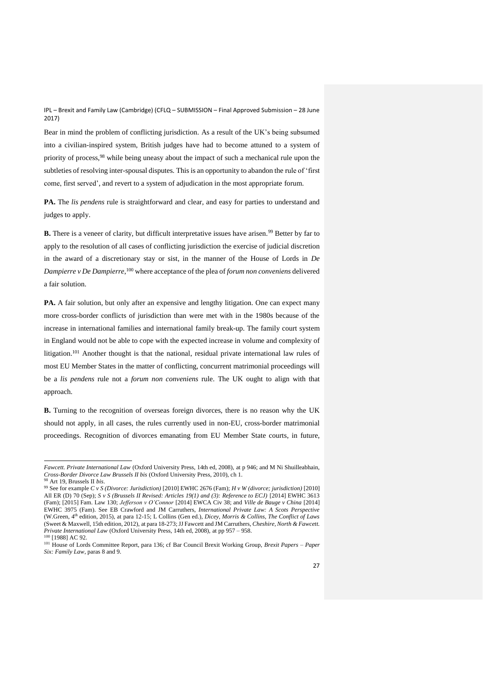Bear in mind the problem of conflicting jurisdiction. As a result of the UK's being subsumed into a civilian-inspired system, British judges have had to become attuned to a system of priority of process,<sup>98</sup> while being uneasy about the impact of such a mechanical rule upon the subtleties of resolving inter-spousal disputes. This is an opportunity to abandon the rule of 'first come, first served', and revert to a system of adjudication in the most appropriate forum.

**PA.** The *lis pendens* rule is straightforward and clear, and easy for parties to understand and judges to apply.

**B.** There is a veneer of clarity, but difficult interpretative issues have arisen.<sup>99</sup> Better by far to apply to the resolution of all cases of conflicting jurisdiction the exercise of judicial discretion in the award of a discretionary stay or sist, in the manner of the House of Lords in *De Dampierre v De Dampierre*, <sup>100</sup> where acceptance of the plea of *forum non conveniens* delivered a fair solution.

**PA.** A fair solution, but only after an expensive and lengthy litigation. One can expect many more cross-border conflicts of jurisdiction than were met with in the 1980s because of the increase in international families and international family break-up. The family court system in England would not be able to cope with the expected increase in volume and complexity of litigation.<sup>101</sup> Another thought is that the national, residual private international law rules of most EU Member States in the matter of conflicting, concurrent matrimonial proceedings will be a *lis pendens* rule not a *forum non conveniens* rule. The UK ought to align with that approach.

**B.** Turning to the recognition of overseas foreign divorces, there is no reason why the UK should not apply, in all cases, the rules currently used in non-EU, cross-border matrimonial proceedings. Recognition of divorces emanating from EU Member State courts, in future,

*Fawcett. Private International Law* (Oxford University Press, 14th ed, 2008), at p 946; and M Ni Shuilleabhain, *Cross-Border Divorce Law Brussels II bis* (Oxford University Press, 2010), ch 1.

<sup>98</sup> Art 19, Brussels II *bis*. <sup>99</sup> See for example *C v S (Divorce: Jurisdiction)* [2010] EWHC 2676 (Fam); *H v W (divorce; jurisdiction)* [2010] All ER (D) 70 (Sep); *S v S (Brussels II Revised: Articles 19(1) and (3): Reference to ECJ)* [2014] EWHC 3613 (Fam); [2015] Fam. Law 130; *Jefferson v O'Connor* [2014] EWCA Civ 38; and *Ville de Bauge v China* [2014] EWHC 3975 (Fam). See EB Crawford and JM Carruthers, *International Private Law: A Scots Perspective* (W.Green, 4th edition, 2015), at para 12-15; L Collins (Gen ed.), *Dicey, Morris & Collins, The Conflict of Laws* (Sweet & Maxwell, 15th edition, 2012), at para 18-273; JJ Fawcett and JM Carruthers, *Cheshire, North & Fawcett.* 

*Private International Law* (Oxford University Press, 14th ed, 2008), at pp 957 – 958.

<sup>&</sup>lt;sup>100</sup> [1988] AC 92.

<sup>101</sup> House of Lords Committee Report, para 136; cf Bar Council Brexit Working Group, *Brexit Papers – Paper Six: Family Law*, paras 8 and 9.